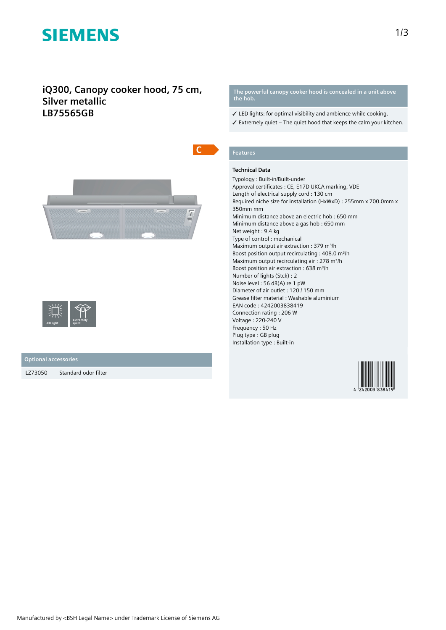# **SIEMENS**

# **iQ300, Canopy cooker hood, 75 cm, Silver metallic LB75565GB**





### **Optional accessories**

LZ73050 Standard odor filter

**The powerful canopy cooker hood is concealed in a unit above the hob.**

- ✓ LED lights: for optimal visibility and ambience while cooking.
- $\checkmark$  Extremely quiet The quiet hood that keeps the calm your kitchen.

# **Features**

## **Technical Data**

Typology : Built-in/Built-under Approval certificates : CE, E17D UKCA marking, VDE Length of electrical supply cord : 130 cm Required niche size for installation (HxWxD) : 255mm x 700.0mm x 350mm mm Minimum distance above an electric hob : 650 mm Minimum distance above a gas hob : 650 mm Net weight : 9.4 kg Type of control : mechanical Maximum output air extraction : 379 m<sup>3</sup>/h Boost position output recirculating : 408.0 m<sup>3</sup>/h Maximum output recirculating air : 278 m<sup>3</sup>/h Boost position air extraction : 638 m<sup>3</sup>/h Number of lights (Stck) : 2 Noise level : 56 dB(A) re 1 pW Diameter of air outlet : 120 / 150 mm Grease filter material : Washable aluminium EAN code : 4242003838419 Connection rating : 206 W Voltage : 220-240 V Frequency : 50 Hz Plug type : GB plug Installation type : Built-in

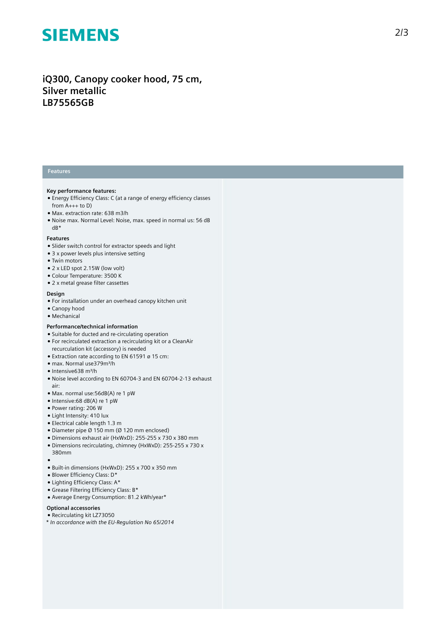# **SIEMENS**

# iQ300, Canopy cooker hood, 75 cm, **Silver metallic LB75565GB**

## **Features**

#### **Key** performance features:

- Energy Efficiency Class: C (at a range of energy efficiency classes from A+++ to D)
- Max. extraction rate: 638 m3/h
- Noise max. Normal Level: Noise, max. speed in normal us: 56 dB dB\*

#### **Features**

- Slider switch control for extractor speeds and light
- 3 x power levels plus intensive setting
- Twin motors
- $\bullet$  2 x LED spot 2.15W (low volt)
- Colour Temperature: 3500 K
- 2 x metal grease filter cassettes

### **Design**

- For installation under an overhead canopy kitchen unit
- Canopy hood
- Mechanical

### Performance/technical information

- Suitable for ducted and re-circulating operation
- For recirculated extraction a recirculating kit or a CleanAir recurculation kit (accessory) is needed
- $\bullet$  Extraction rate according to EN 61591 ø 15 cm: ● max. Normal use379m³/h
- 
- Intensive638 m³/h
- Noise level according to EN 60704-3 and EN 60704-2-13 exhaust a i r :
- Max. normal use: 56dB(A) re 1 pW
- Intensive:68 dB(A) re 1 pW
- Power rating: 206 W
- $\bullet$  Light Intensity: 410 lux
- Electrical cable length 1.3 m
- $\bullet$  Diameter pipe Ø 150 mm (Ø 120 mm enclosed)
- Dimensions exhaust air (HxWxD): 255-255 x 730 x 380 mm
- Dimensions recirculating, chimney (HxWxD): 255-255 x 730 x 380mm
- ●<br>● Built-in dimensions (HxWxD): 255 x 700 x 350 mm
- Blower Efficiency Class: D\*
- Lighting Efficiency Class: A\*
- Grease Filtering Efficiency Class: B\*
- Average Energy Consumption: 81.2 kWh/year\*

### **Optional accessories**

- Recirculating kit LZ73050
- *\* In accordance with the EU-Regulation No 65/2014*